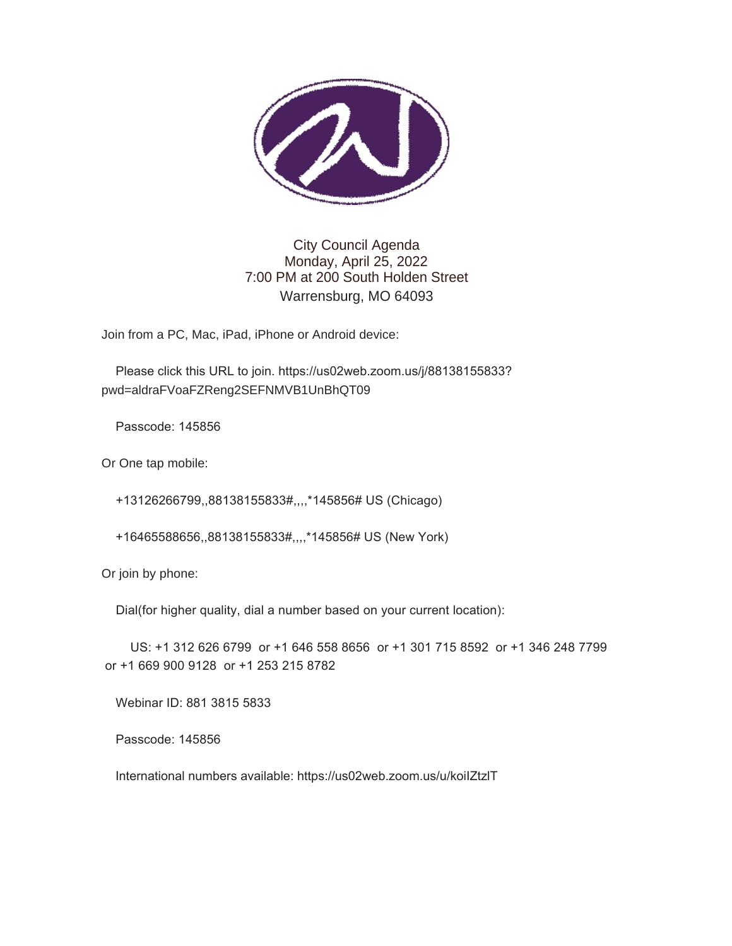

# City Council Agenda Monday, April 25, 2022 7:00 PM at 200 South Holden Street Warrensburg, MO 64093

Join from a PC, Mac, iPad, iPhone or Android device:

 Please click this URL to join. https://us02web.zoom.us/j/88138155833? pwd=aldraFVoaFZReng2SEFNMVB1UnBhQT09

Passcode: 145856

Or One tap mobile:

+13126266799,,88138155833#,,,,\*145856# US (Chicago)

+16465588656,,88138155833#,,,,\*145856# US (New York)

Or join by phone:

Dial(for higher quality, dial a number based on your current location):

 US: +1 312 626 6799 or +1 646 558 8656 or +1 301 715 8592 or +1 346 248 7799 or +1 669 900 9128 or +1 253 215 8782

Webinar ID: 881 3815 5833

Passcode: 145856

International numbers available: https://us02web.zoom.us/u/koiIZtzlT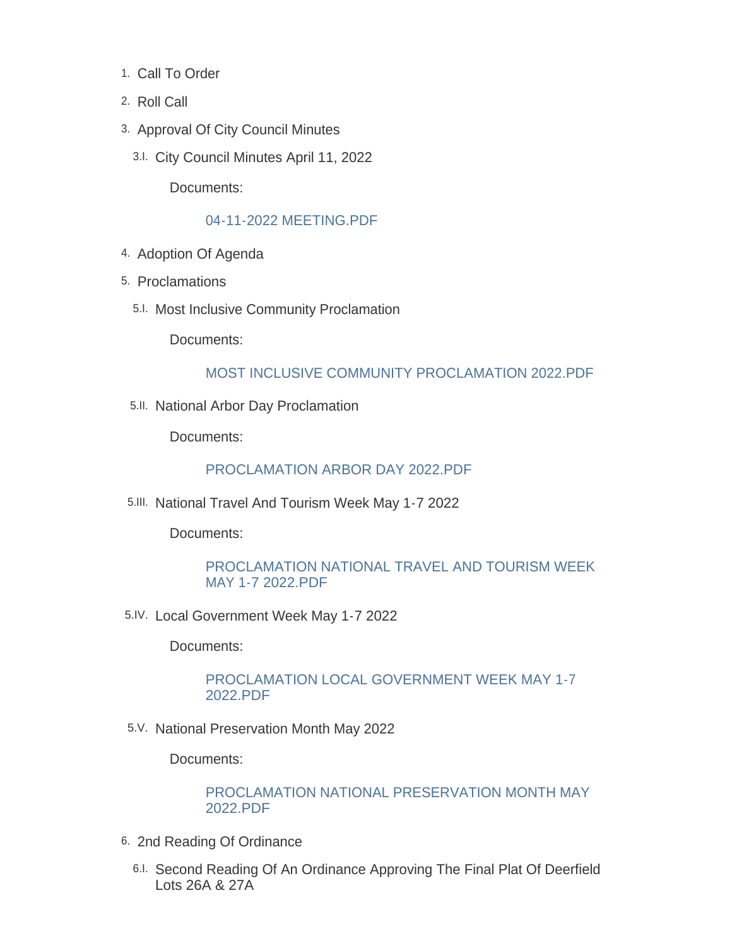- 1. Call To Order
- 2. Roll Call
- 3. Approval Of City Council Minutes
	- City Council Minutes April 11, 2022 3.I.

Documents:

### [04-11-2022 MEETING.PDF](https://www.warrensburg-mo.com/AgendaCenter/ViewFile/Item/6445?fileID=11021)

- 4. Adoption Of Agenda
- 5. Proclamations
	- 5.I. Most Inclusive Community Proclamation

Documents:

### [MOST INCLUSIVE COMMUNITY PROCLAMATION 2022.PDF](https://www.warrensburg-mo.com/AgendaCenter/ViewFile/Item/6454?fileID=11035)

5.II. National Arbor Day Proclamation

Documents:

#### [PROCLAMATION ARBOR DAY 2022.PDF](https://www.warrensburg-mo.com/AgendaCenter/ViewFile/Item/6337?fileID=11005)

5.III. National Travel And Tourism Week May 1-7 2022

Documents:

### [PROCLAMATION NATIONAL TRAVEL AND TOURISM WEEK](https://www.warrensburg-mo.com/AgendaCenter/ViewFile/Item/6354?fileID=11017)  MAY 1-7 2022.PDF

5.IV. Local Government Week May 1-7 2022

Documents:

## [PROCLAMATION LOCAL GOVERNMENT WEEK MAY 1-7](https://www.warrensburg-mo.com/AgendaCenter/ViewFile/Item/6353?fileID=11002)  2022.PDF

5.V. National Preservation Month May 2022

Documents:

[PROCLAMATION NATIONAL PRESERVATION MONTH MAY](https://www.warrensburg-mo.com/AgendaCenter/ViewFile/Item/6280?fileID=11000)  2022.PDF

- 6. 2nd Reading Of Ordinance
	- 6.I. Second Reading Of An Ordinance Approving The Final Plat Of Deerfield Lots 26A & 27A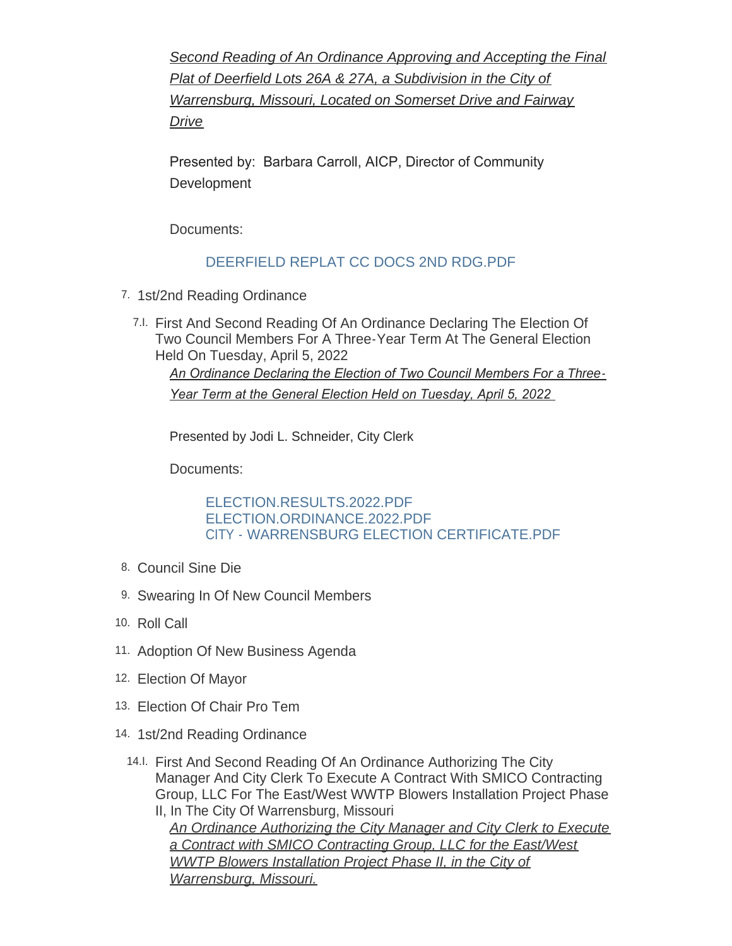*Second Reading of An Ordinance Approving and Accepting the Final Plat of Deerfield Lots 26A & 27A, a Subdivision in the City of Warrensburg, Missouri, Located on Somerset Drive and Fairway Drive*

Presented by: Barbara Carroll, AICP, Director of Community **Development** 

Documents:

# [DEERFIELD REPLAT CC DOCS 2ND RDG.PDF](https://www.warrensburg-mo.com/AgendaCenter/ViewFile/Item/6056?fileID=11022)

- 7. 1st/2nd Reading Ordinance
	- First And Second Reading Of An Ordinance Declaring The Election Of 7.I. Two Council Members For A Three-Year Term At The General Election Held On Tuesday, April 5, 2022 An Ordinance Declaring the Election of Two Council Members For a Three-*Year Term at the General Election Held on Tuesday, April 5, 2022*

Presented by Jodi L. Schneider, City Clerk

Documents:

[ELECTION.RESULTS.2022.PDF](https://www.warrensburg-mo.com/AgendaCenter/ViewFile/Item/6338?fileID=10992) [ELECTION.ORDINANCE.2022.PDF](https://www.warrensburg-mo.com/AgendaCenter/ViewFile/Item/6338?fileID=10991) [CITY - WARRENSBURG ELECTION CERTIFICATE.PDF](https://www.warrensburg-mo.com/AgendaCenter/ViewFile/Item/6338?fileID=11016)

- 8. Council Sine Die
- 9. Swearing In Of New Council Members
- 10. Roll Call
- 11. Adoption Of New Business Agenda
- 12. Election Of Mayor
- Election Of Chair Pro Tem 13.
- 14. 1st/2nd Reading Ordinance
	- 14. First And Second Reading Of An Ordinance Authorizing The City Manager And City Clerk To Execute A Contract With SMICO Contracting Group, LLC For The East/West WWTP Blowers Installation Project Phase II, In The City Of Warrensburg, Missouri

*An Ordinance Authorizing the City Manager and City Clerk to Execute a Contract with SMICO Contracting Group, LLC for the East/West WWTP Blowers Installation Project Phase II, in the City of Warrensburg, Missouri.*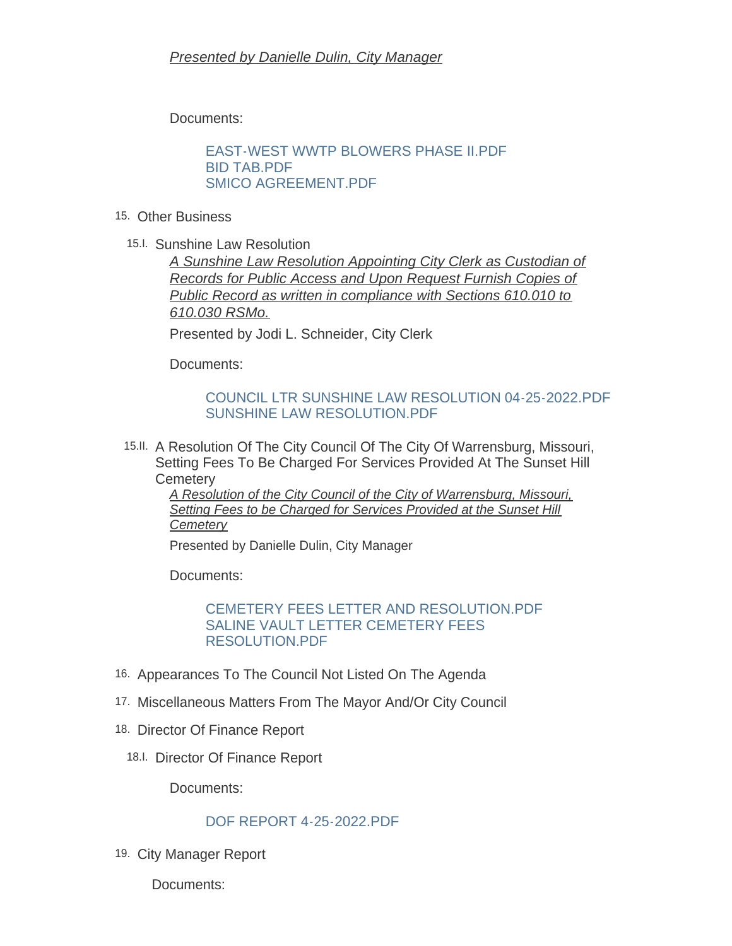Documents:

[EAST-WEST WWTP BLOWERS PHASE II.PDF](https://www.warrensburg-mo.com/AgendaCenter/ViewFile/Item/6450?fileID=11029) [BID TAB.PDF](https://www.warrensburg-mo.com/AgendaCenter/ViewFile/Item/6450?fileID=11028) [SMICO AGREEMENT.PDF](https://www.warrensburg-mo.com/AgendaCenter/ViewFile/Item/6450?fileID=11027)

- Other Business 15.
	- 15.I. Sunshine Law Resolution

*A Sunshine Law Resolution Appointing City Clerk as Custodian of Records for Public Access and Upon Request Furnish Copies of Public Record as written in compliance with Sections 610.010 to 610.030 RSMo.*

Presented by Jodi L. Schneider, City Clerk

Documents:

# [COUNCIL LTR SUNSHINE LAW RESOLUTION 04-25-2022.PDF](https://www.warrensburg-mo.com/AgendaCenter/ViewFile/Item/6444?fileID=11026) [SUNSHINE LAW RESOLUTION.PDF](https://www.warrensburg-mo.com/AgendaCenter/ViewFile/Item/6444?fileID=11023)

15.II. A Resolution Of The City Council Of The City Of Warrensburg, Missouri, Setting Fees To Be Charged For Services Provided At The Sunset Hill **Cemetery** 

*A Resolution of the City Council of the City of Warrensburg, Missouri, Setting Fees to be Charged for Services Provided at the Sunset Hill Cemetery*

Presented by Danielle Dulin, City Manager

Documents:

### [CEMETERY FEES LETTER AND RESOLUTION.PDF](https://www.warrensburg-mo.com/AgendaCenter/ViewFile/Item/6451?fileID=11030) [SALINE VAULT LETTER CEMETERY FEES](https://www.warrensburg-mo.com/AgendaCenter/ViewFile/Item/6451?fileID=11031)  RESOLUTION.PDF

- 16. Appearances To The Council Not Listed On The Agenda
- 17. Miscellaneous Matters From The Mayor And/Or City Council
- 18. Director Of Finance Report
	- 18.I. Director Of Finance Report

Documents:

# [DOF REPORT 4-25-2022.PDF](https://www.warrensburg-mo.com/AgendaCenter/ViewFile/Item/6448?fileID=11025)

19. City Manager Report

Documents: